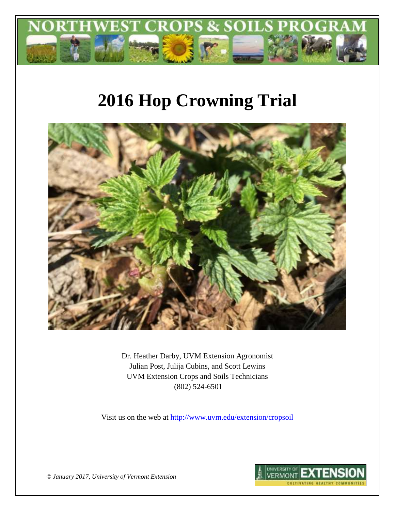

# **2016 Hop Crowning Trial**



Dr. Heather Darby, UVM Extension Agronomist Julian Post, Julija Cubins, and Scott Lewins UVM Extension Crops and Soils Technicians (802) 524-6501

Visit us on the web at <http://www.uvm.edu/extension/cropsoil>



*© January 2017, University of Vermont Extension*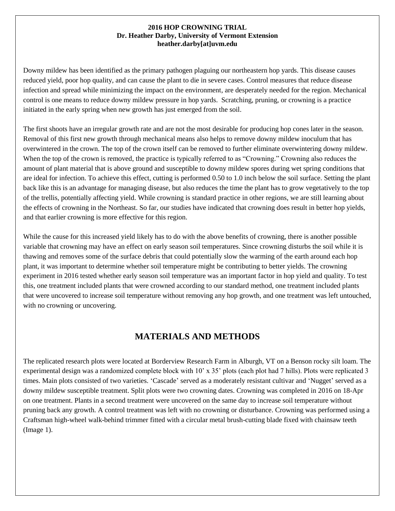#### **2016 HOP CROWNING TRIAL Dr. Heather Darby, University of Vermont Extension heather.darby[at]uvm.edu**

Downy mildew has been identified as the primary pathogen plaguing our northeastern hop yards. This disease causes reduced yield, poor hop quality, and can cause the plant to die in severe cases. Control measures that reduce disease infection and spread while minimizing the impact on the environment, are desperately needed for the region. Mechanical control is one means to reduce downy mildew pressure in hop yards. Scratching, pruning, or crowning is a practice initiated in the early spring when new growth has just emerged from the soil.

The first shoots have an irregular growth rate and are not the most desirable for producing hop cones later in the season. Removal of this first new growth through mechanical means also helps to remove downy mildew inoculum that has overwintered in the crown. The top of the crown itself can be removed to further eliminate overwintering downy mildew. When the top of the crown is removed, the practice is typically referred to as "Crowning." Crowning also reduces the amount of plant material that is above ground and susceptible to downy mildew spores during wet spring conditions that are ideal for infection. To achieve this effect, cutting is performed 0.50 to 1.0 inch below the soil surface. Setting the plant back like this is an advantage for managing disease, but also reduces the time the plant has to grow vegetatively to the top of the trellis, potentially affecting yield. While crowning is standard practice in other regions, we are still learning about the effects of crowning in the Northeast. So far, our studies have indicated that crowning does result in better hop yields, and that earlier crowning is more effective for this region.

While the cause for this increased yield likely has to do with the above benefits of crowning, there is another possible variable that crowning may have an effect on early season soil temperatures. Since crowning disturbs the soil while it is thawing and removes some of the surface debris that could potentially slow the warming of the earth around each hop plant, it was important to determine whether soil temperature might be contributing to better yields. The crowning experiment in 2016 tested whether early season soil temperature was an important factor in hop yield and quality. To test this, one treatment included plants that were crowned according to our standard method, one treatment included plants that were uncovered to increase soil temperature without removing any hop growth, and one treatment was left untouched, with no crowning or uncovering.

### **MATERIALS AND METHODS**

The replicated research plots were located at Borderview Research Farm in Alburgh, VT on a Benson rocky silt loam. The experimental design was a randomized complete block with 10' x 35' plots (each plot had 7 hills). Plots were replicated 3 times. Main plots consisted of two varieties. 'Cascade' served as a moderately resistant cultivar and 'Nugget' served as a downy mildew susceptible treatment. Split plots were two crowning dates. Crowning was completed in 2016 on 18-Apr on one treatment. Plants in a second treatment were uncovered on the same day to increase soil temperature without pruning back any growth. A control treatment was left with no crowning or disturbance. Crowning was performed using a Craftsman high-wheel walk-behind trimmer fitted with a circular metal brush-cutting blade fixed with chainsaw teeth (Image 1).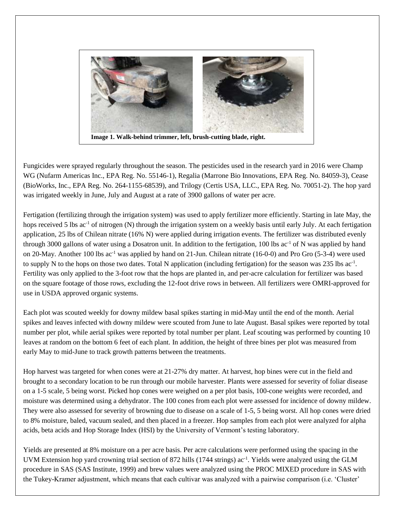

Fungicides were sprayed regularly throughout the season. The pesticides used in the research yard in 2016 were Champ WG (Nufarm Americas Inc., EPA Reg. No. 55146-1), Regalia (Marrone Bio Innovations, EPA Reg. No. 84059-3), Cease (BioWorks, Inc., EPA Reg. No. 264-1155-68539), and Trilogy (Certis USA, LLC., EPA Reg. No. 70051-2). The hop yard was irrigated weekly in June, July and August at a rate of 3900 gallons of water per acre.

Fertigation (fertilizing through the irrigation system) was used to apply fertilizer more efficiently. Starting in late May, the hops received 5 lbs ac<sup>-1</sup> of nitrogen (N) through the irrigation system on a weekly basis until early July. At each fertigation application, 25 lbs of Chilean nitrate (16% N) were applied during irrigation events. The fertilizer was distributed evenly through 3000 gallons of water using a Dosatron unit. In addition to the fertigation,  $100$  lbs ac<sup>-1</sup> of N was applied by hand on 20-May. Another 100 lbs ac-1 was applied by hand on 21-Jun. Chilean nitrate (16-0-0) and Pro Gro (5-3-4) were used to supply N to the hops on those two dates. Total N application (including fertigation) for the season was 235 lbs ac<sup>-1</sup>. Fertility was only applied to the 3-foot row that the hops are planted in, and per-acre calculation for fertilizer was based on the square footage of those rows, excluding the 12-foot drive rows in between. All fertilizers were OMRI-approved for use in USDA approved organic systems.

Each plot was scouted weekly for downy mildew basal spikes starting in mid-May until the end of the month. Aerial spikes and leaves infected with downy mildew were scouted from June to late August. Basal spikes were reported by total number per plot, while aerial spikes were reported by total number per plant. Leaf scouting was performed by counting 10 leaves at random on the bottom 6 feet of each plant. In addition, the height of three bines per plot was measured from early May to mid-June to track growth patterns between the treatments.

Hop harvest was targeted for when cones were at 21-27% dry matter. At harvest, hop bines were cut in the field and brought to a secondary location to be run through our mobile harvester. Plants were assessed for severity of foliar disease on a 1-5 scale, 5 being worst. Picked hop cones were weighed on a per plot basis, 100-cone weights were recorded, and moisture was determined using a dehydrator. The 100 cones from each plot were assessed for incidence of downy mildew. They were also assessed for severity of browning due to disease on a scale of 1-5, 5 being worst. All hop cones were dried to 8% moisture, baled, vacuum sealed, and then placed in a freezer. Hop samples from each plot were analyzed for alpha acids, beta acids and Hop Storage Index (HSI) by the University of Vermont's testing laboratory.

Yields are presented at 8% moisture on a per acre basis. Per acre calculations were performed using the spacing in the UVM Extension hop yard crowning trial section of 872 hills (1744 strings) ac<sup>-1</sup>. Yields were analyzed using the GLM procedure in SAS (SAS Institute, 1999) and brew values were analyzed using the PROC MIXED procedure in SAS with the Tukey-Kramer adjustment, which means that each cultivar was analyzed with a pairwise comparison (i.e. 'Cluster'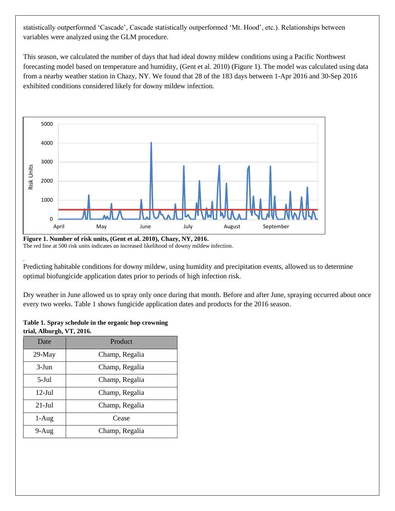statistically outperformed 'Cascade', Cascade statistically outperformed 'Mt. Hood', etc.). Relationships between variables were analyzed using the GLM procedure.

This season, we calculated the number of days that had ideal downy mildew conditions using a Pacific Northwest forecasting model based on temperature and humidity, (Gent et al. 2010) (Figure 1). The model was calculated using data from a nearby weather station in Chazy, NY. We found that 28 of the 183 days between 1-Apr 2016 and 30-Sep 2016 exhibited conditions considered likely for downy mildew infection.



**Figure 1. Number of risk units, (Gent et al. 2010), Chazy, NY, 2016.** The red line at 500 risk units indicates an increased likelihood of downy mildew infection.

. Predicting habitable conditions for downy mildew, using humidity and precipitation events, allowed us to determine optimal biofungicide application dates prior to periods of high infection risk.

Dry weather in June allowed us to spray only once during that month. Before and after June, spraying occurred about once every two weeks. Table 1 shows fungicide application dates and products for the 2016 season.

#### **Table 1. Spray schedule in the organic hop crowning trial, Alburgh, VT, 2016.**

| Date              | Product        |
|-------------------|----------------|
| $29$ -May         | Champ, Regalia |
| $3-J$ un          | Champ, Regalia |
| $5-IU$            | Champ, Regalia |
| $12$ -Jul         | Champ, Regalia |
| $21 - \text{Jul}$ | Champ, Regalia |
| $1-Aug$           | Cease          |
| $9-Aug$           | Champ, Regalia |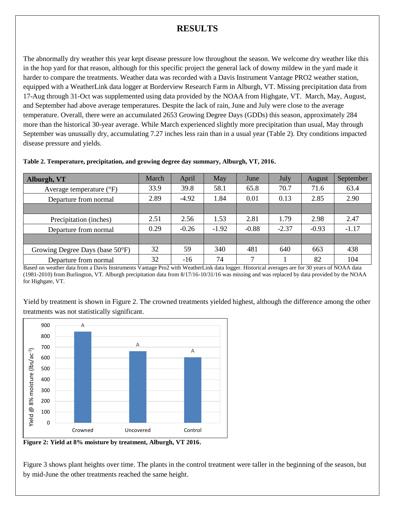## **RESULTS**

The abnormally dry weather this year kept disease pressure low throughout the season. We welcome dry weather like this in the hop yard for that reason, although for this specific project the general lack of downy mildew in the yard made it harder to compare the treatments. Weather data was recorded with a Davis Instrument Vantage PRO2 weather station, equipped with a WeatherLink data logger at Borderview Research Farm in Alburgh, VT. Missing precipitation data from 17-Aug through 31-Oct was supplemented using data provided by the NOAA from Highgate, VT. March, May, August, and September had above average temperatures. Despite the lack of rain, June and July were close to the average temperature. Overall, there were an accumulated 2653 Growing Degree Days (GDDs) this season, approximately 284 more than the historical 30-year average. While March experienced slightly more precipitation than usual, May through September was unusually dry, accumulating 7.27 inches less rain than in a usual year (Table 2). Dry conditions impacted disease pressure and yields.

| Alburgh, VT                         | March | April   | May     | June    | July    | August  | September |
|-------------------------------------|-------|---------|---------|---------|---------|---------|-----------|
| Average temperature $({}^{\circ}F)$ | 33.9  | 39.8    | 58.1    | 65.8    | 70.7    | 71.6    | 63.4      |
| Departure from normal               | 2.89  | $-4.92$ | 1.84    | 0.01    | 0.13    | 2.85    | 2.90      |
|                                     |       |         |         |         |         |         |           |
| Precipitation (inches)              | 2.51  | 2.56    | 1.53    | 2.81    | 1.79    | 2.98    | 2.47      |
| Departure from normal               | 0.29  | $-0.26$ | $-1.92$ | $-0.88$ | $-2.37$ | $-0.93$ | $-1.17$   |
|                                     |       |         |         |         |         |         |           |
| Growing Degree Days (base 50°F)     | 32    | 59      | 340     | 481     | 640     | 663     | 438       |
| Departure from normal               | 32    | $-16$   | 74      | 7       |         | 82      | 104       |

#### **Table 2. Temperature, precipitation, and growing degree day summary, Alburgh, VT, 2016.**

Based on weather data from a Davis Instruments Vantage Pro2 with WeatherLink data logger. Historical averages are for 30 years of NOAA data (1981-2010) from Burlington, VT. Alburgh precipitation data from 8/17/16-10/31/16 was missing and was replaced by data provided by the NOAA for Highgate, VT.

Yield by treatment is shown in Figure 2. The crowned treatments yielded highest, although the difference among the other treatments was not statistically significant.



**Figure 2: Yield at 8% moisture by treatment, Alburgh, VT 2016.**

Figure 3 shows plant heights over time. The plants in the control treatment were taller in the beginning of the season, but by mid-June the other treatments reached the same height.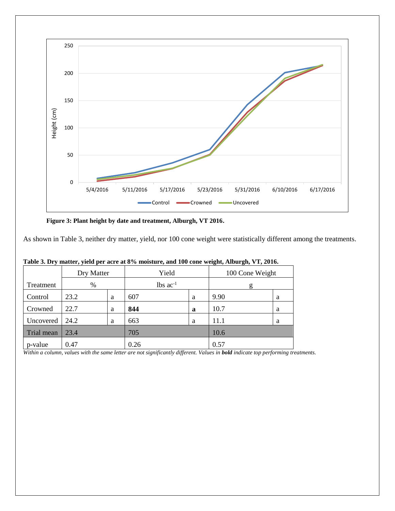

**Figure 3: Plant height by date and treatment, Alburgh, VT 2016.**

As shown in Table 3, neither dry matter, yield, nor 100 cone weight were statistically different among the treatments.

|            | Dry Matter |   | Yield                  |   | 100 Cone Weight |   |
|------------|------------|---|------------------------|---|-----------------|---|
| Treatment  | %          |   | $lbs$ ac <sup>-1</sup> |   | g               |   |
| Control    | 23.2       | a | 607                    | a | 9.90            | a |
| Crowned    | 22.7       | a | 844                    | a | 10.7            | a |
| Uncovered  | 24.2       | a | 663                    | a | 11.1            | a |
| Trial mean | 23.4       |   | 705                    |   | 10.6            |   |
| p-value    | 0.47       |   | 0.26                   |   | 0.57            |   |

**Table 3. Dry matter, yield per acre at 8% moisture, and 100 cone weight, Alburgh, VT, 2016.**

*Within a column, values with the same letter are not significantly different. Values in bold indicate top performing treatments.*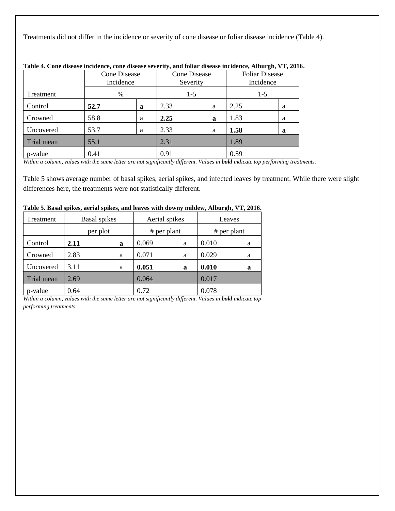Treatments did not differ in the incidence or severity of cone disease or foliar disease incidence (Table 4).

|            | <b>Cone Disease</b><br>Incidence |   | <b>Cone Disease</b><br>Severity |   | <b>Foliar Disease</b><br>Incidence |   |
|------------|----------------------------------|---|---------------------------------|---|------------------------------------|---|
| Treatment  | %                                |   | $1-5$                           |   | $1-5$                              |   |
| Control    | 52.7                             | a | 2.33                            | a | 2.25                               | a |
| Crowned    | 58.8                             | a | 2.25                            | a | 1.83                               | a |
| Uncovered  | 53.7                             | a | 2.33                            | a | 1.58                               | a |
| Trial mean | 55.1                             |   | 2.31                            |   | 1.89                               |   |
| p-value    | 0.41                             |   | 0.91                            |   | 0.59                               |   |

#### **Table 4. Cone disease incidence, cone disease severity, and foliar disease incidence, Alburgh, VT, 2016.**

*Within a column, values with the same letter are not significantly different. Values in bold indicate top performing treatments.*

Table 5 shows average number of basal spikes, aerial spikes, and infected leaves by treatment. While there were slight differences here, the treatments were not statistically different.

| Treatment  | <b>Basal</b> spikes |   | Aerial spikes |   | Leaves        |   |
|------------|---------------------|---|---------------|---|---------------|---|
|            | per plot            |   | $#$ per plant |   | $#$ per plant |   |
| Control    | 2.11                | a | 0.069         | a | 0.010         | a |
| Crowned    | 2.83                | a | 0.071         | a | 0.029         | a |
| Uncovered  | 3.11                | a | 0.051         | a | 0.010         | a |
| Trial mean | 2.69                |   | 0.064         |   | 0.017         |   |
| p-value    | 0.64                |   | 0.72          |   | 0.078         |   |

#### **Table 5. Basal spikes, aerial spikes, and leaves with downy mildew, Alburgh, VT, 2016.**

*Within a column, values with the same letter are not significantly different. Values in bold <i>indicate top performing treatments.*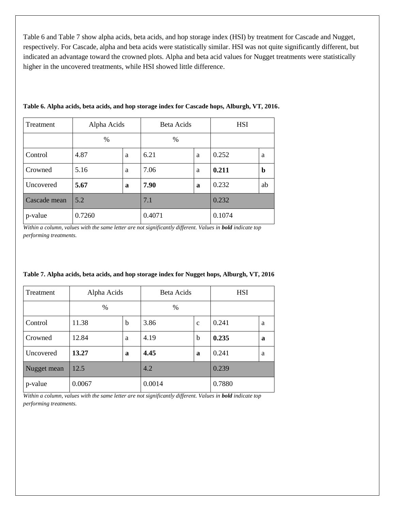Table 6 and Table 7 show alpha acids, beta acids, and hop storage index (HSI) by treatment for Cascade and Nugget, respectively. For Cascade, alpha and beta acids were statistically similar. HSI was not quite significantly different, but indicated an advantage toward the crowned plots. Alpha and beta acid values for Nugget treatments were statistically higher in the uncovered treatments, while HSI showed little difference.

| Treatment    | Alpha Acids |   | Beta Acids    |   | <b>HSI</b> |    |
|--------------|-------------|---|---------------|---|------------|----|
|              | $\%$        |   | $\frac{0}{0}$ |   |            |    |
| Control      | 4.87        | a | 6.21          | a | 0.252      | a  |
| Crowned      | 5.16        | a | 7.06          | a | 0.211      | b  |
| Uncovered    | 5.67        | a | 7.90          | a | 0.232      | ab |
| Cascade mean | 5.2         |   | 7.1           |   | 0.232      |    |
| p-value      | 0.7260      |   | 0.4071        |   | 0.1074     |    |

**Table 6. Alpha acids, beta acids, and hop storage index for Cascade hops, Alburgh, VT, 2016.**

*Within a column, values with the same letter are not significantly different. Values in bold indicate top performing treatments.*

| Treatment   | Alpha Acids |             | Beta Acids |              | <b>HSI</b> |   |
|-------------|-------------|-------------|------------|--------------|------------|---|
|             | %           |             | $\%$       |              |            |   |
| Control     | 11.38       | b           | 3.86       | $\mathbf{C}$ | 0.241      | a |
| Crowned     | 12.84       | a           | 4.19       | b            | 0.235      | a |
| Uncovered   | 13.27       | $\mathbf a$ | 4.45       | a            | 0.241      | a |
| Nugget mean | 12.5        |             | 4.2        |              | 0.239      |   |
| p-value     | 0.0067      |             | 0.0014     |              | 0.7880     |   |

**Table 7. Alpha acids, beta acids, and hop storage index for Nugget hops, Alburgh, VT, 2016**

*Within a column, values with the same letter are not significantly different. Values in bold indicate top performing treatments.*